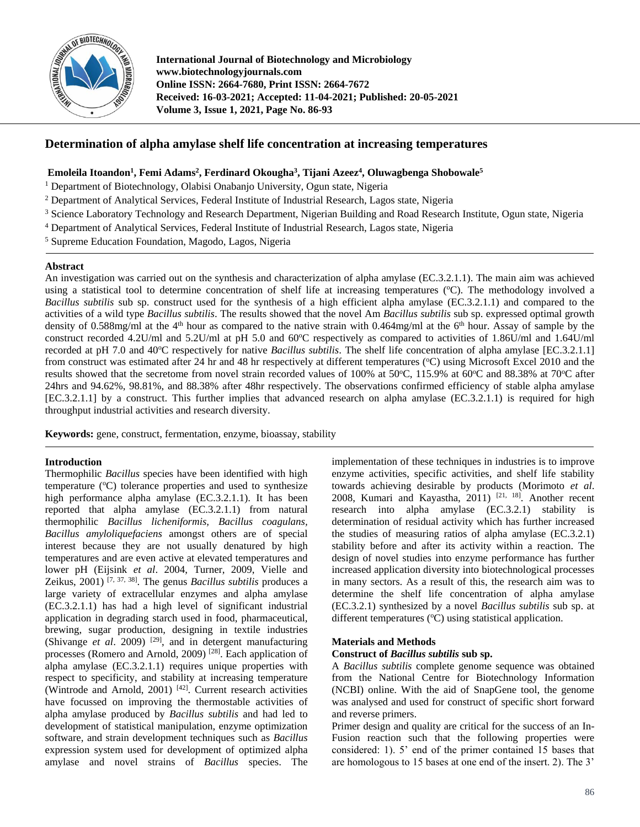

**International Journal of Biotechnology and Microbiology www.biotechnologyjournals.com Online ISSN: 2664-7680, Print ISSN: 2664-7672 Received: 16-03-2021; Accepted: 11-04-2021; Published: 20-05-2021 Volume 3, Issue 1, 2021, Page No. 86-93**

# **Determination of alpha amylase shelf life concentration at increasing temperatures**

# **Emoleila Itoandon<sup>1</sup> , Femi Adams<sup>2</sup> , Ferdinard Okougha<sup>3</sup> , Tijani Azeez<sup>4</sup> , Oluwagbenga Shobowale<sup>5</sup>**

- <sup>1</sup> Department of Biotechnology, Olabisi Onabanjo University, Ogun state, Nigeria
- <sup>2</sup> Department of Analytical Services, Federal Institute of Industrial Research, Lagos state, Nigeria
- <sup>3</sup> Science Laboratory Technology and Research Department, Nigerian Building and Road Research Institute, Ogun state, Nigeria
- <sup>4</sup> Department of Analytical Services, Federal Institute of Industrial Research, Lagos state, Nigeria
- <sup>5</sup> Supreme Education Foundation, Magodo, Lagos, Nigeria

## **Abstract**

An investigation was carried out on the synthesis and characterization of alpha amylase (EC.3.2.1.1). The main aim was achieved using a statistical tool to determine concentration of shelf life at increasing temperatures (°C). The methodology involved a *Bacillus subtilis* sub sp. construct used for the synthesis of a high efficient alpha amylase (EC.3.2.1.1) and compared to the activities of a wild type *Bacillus subtilis*. The results showed that the novel Am *Bacillus subtilis* sub sp. expressed optimal growth density of 0.588mg/ml at the  $4<sup>th</sup>$  hour as compared to the native strain with 0.464mg/ml at the  $6<sup>th</sup>$  hour. Assay of sample by the construct recorded 4.2U/ml and 5.2U/ml at pH 5.0 and 60°C respectively as compared to activities of 1.86U/ml and 1.64U/ml recorded at pH 7.0 and 40<sup>o</sup>C respectively for native *Bacillus subtilis*. The shelf life concentration of alpha amylase [EC.3.2.1.1] from construct was estimated after 24 hr and 48 hr respectively at different temperatures (°C) using Microsoft Excel 2010 and the results showed that the secretome from novel strain recorded values of 100% at 50°C, 115.9% at 60°C and 88.38% at 70°C after 24hrs and 94.62%, 98.81%, and 88.38% after 48hr respectively. The observations confirmed efficiency of stable alpha amylase [EC.3.2.1.1] by a construct. This further implies that advanced research on alpha amylase (EC.3.2.1.1) is required for high throughput industrial activities and research diversity.

**Keywords:** gene, construct, fermentation, enzyme, bioassay, stability

## **Introduction**

Thermophilic *Bacillus* species have been identified with high temperature  $(^{\circ}C)$  tolerance properties and used to synthesize high performance alpha amylase (EC.3.2.1.1). It has been reported that alpha amylase (EC.3.2.1.1) from natural thermophilic *Bacillus licheniformis, Bacillus coagulans, Bacillus amyloliquefaciens* amongst others are of special interest because they are not usually denatured by high temperatures and are even active at elevated temperatures and lower pH (Eijsink *et al*. 2004, Turner, 2009, Vielle and Zeikus, 2001) [7, 37, 38] . The genus *Bacillus subtilis* produces a large variety of extracellular enzymes and alpha amylase (EC.3.2.1.1) has had a high level of significant industrial application in degrading starch used in food, pharmaceutical, brewing, sugar production, designing in textile industries (Shivange *et al.* 2009)<sup>[29]</sup>, and in detergent manufacturing processes (Romero and Arnold, 2009)<sup>[28]</sup>. Each application of alpha amylase (EC.3.2.1.1) requires unique properties with respect to specificity, and stability at increasing temperature (Wintrode and Arnold, 2001) [42] . Current research activities have focussed on improving the thermostable activities of alpha amylase produced by *Bacillus subtilis* and had led to development of statistical manipulation, enzyme optimization software, and strain development techniques such as *Bacillus* expression system used for development of optimized alpha amylase and novel strains of *Bacillus* species. The

implementation of these techniques in industries is to improve enzyme activities, specific activities, and shelf life stability towards achieving desirable by products (Morimoto *et al*. 2008, Kumari and Kayastha, 2011)<sup>[21, 18]</sup>. Another recent research into alpha amylase (EC.3.2.1) stability is determination of residual activity which has further increased the studies of measuring ratios of alpha amylase (EC.3.2.1) stability before and after its activity within a reaction. The design of novel studies into enzyme performance has further increased application diversity into biotechnological processes in many sectors. As a result of this, the research aim was to determine the shelf life concentration of alpha amylase (EC.3.2.1) synthesized by a novel *Bacillus subtilis* sub sp. at different temperatures  $({}^{\circ}C)$  using statistical application.

## **Materials and Methods**

## **Construct of** *Bacillus subtilis* **sub sp.**

A *Bacillus subtilis* complete genome sequence was obtained from the National Centre for Biotechnology Information (NCBI) online. With the aid of SnapGene tool, the genome was analysed and used for construct of specific short forward and reverse primers.

Primer design and quality are critical for the success of an In-Fusion reaction such that the following properties were considered: 1). 5' end of the primer contained 15 bases that are homologous to 15 bases at one end of the insert. 2). The 3'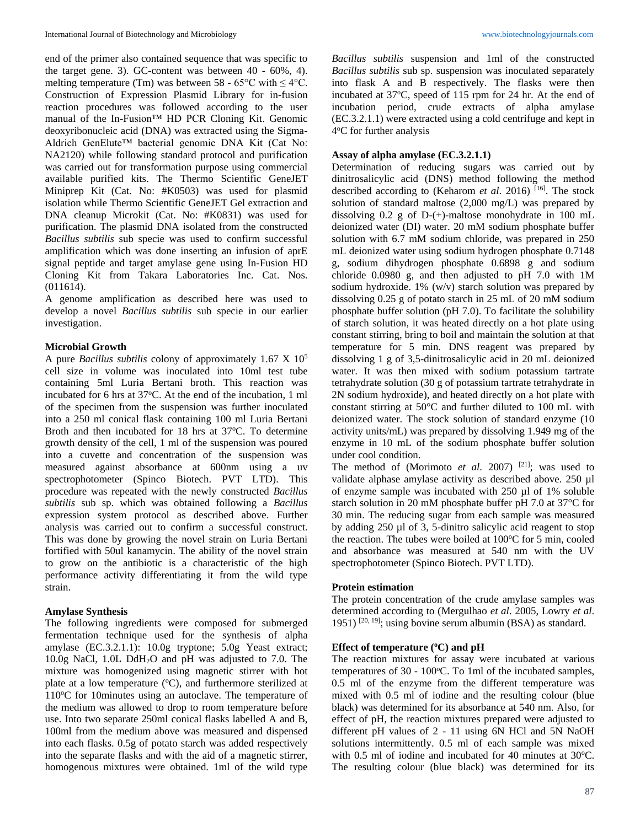end of the primer also contained sequence that was specific to the target gene. 3). GC-content was between 40 - 60%, 4). melting temperature (Tm) was between 58 - 65 $\degree$ C with  $\leq 4\degree$ C. Construction of Expression Plasmid Library for in-fusion reaction procedures was followed according to the user manual of the In-Fusion™ HD PCR Cloning Kit. Genomic deoxyribonucleic acid (DNA) was extracted using the Sigma-Aldrich GenElute™ bacterial genomic DNA Kit (Cat No: NA2120) while following standard protocol and purification was carried out for transformation purpose using commercial available purified kits. The Thermo Scientific GeneJET Miniprep Kit (Cat. No: #K0503) was used for plasmid isolation while Thermo Scientific GeneJET Gel extraction and DNA cleanup Microkit (Cat. No: #K0831) was used for purification. The plasmid DNA isolated from the constructed *Bacillus subtilis* sub specie was used to confirm successful amplification which was done inserting an infusion of aprE signal peptide and target amylase gene using In-Fusion HD Cloning Kit from Takara Laboratories Inc. Cat. Nos. (011614).

A genome amplification as described here was used to develop a novel *Bacillus subtilis* sub specie in our earlier investigation.

## **Microbial Growth**

A pure *Bacillus subtilis* colony of approximately 1.67 X 10<sup>5</sup> cell size in volume was inoculated into 10ml test tube containing 5ml Luria Bertani broth. This reaction was incubated for 6 hrs at 37°C. At the end of the incubation, 1 ml of the specimen from the suspension was further inoculated into a 250 ml conical flask containing 100 ml Luria Bertani Broth and then incubated for  $18$  hrs at  $37^{\circ}$ C. To determine growth density of the cell, 1 ml of the suspension was poured into a cuvette and concentration of the suspension was measured against absorbance at 600nm using a uv spectrophotometer (Spinco Biotech. PVT LTD). This procedure was repeated with the newly constructed *Bacillus subtilis* sub sp. which was obtained following a *Bacillus* expression system protocol as described above. Further analysis was carried out to confirm a successful construct. This was done by growing the novel strain on Luria Bertani fortified with 50ul kanamycin. The ability of the novel strain to grow on the antibiotic is a characteristic of the high performance activity differentiating it from the wild type strain.

## **Amylase Synthesis**

The following ingredients were composed for submerged fermentation technique used for the synthesis of alpha amylase (EC.3.2.1.1): 10.0g tryptone; 5.0g Yeast extract; 10.0g NaCl, 1.0L DdH2O and pH was adjusted to 7.0. The mixture was homogenized using magnetic stirrer with hot plate at a low temperature  $({}^{\circ}C)$ , and furthermore sterilized at 110°C for 10minutes using an autoclave. The temperature of the medium was allowed to drop to room temperature before use. Into two separate 250ml conical flasks labelled A and B, 100ml from the medium above was measured and dispensed into each flasks. 0.5g of potato starch was added respectively into the separate flasks and with the aid of a magnetic stirrer, homogenous mixtures were obtained. 1ml of the wild type *Bacillus subtilis* suspension and 1ml of the constructed *Bacillus subtilis* sub sp. suspension was inoculated separately into flask A and B respectively. The flasks were then incubated at 37°C, speed of 115 rpm for 24 hr. At the end of incubation period, crude extracts of alpha amylase (EC.3.2.1.1) were extracted using a cold centrifuge and kept in 4 <sup>o</sup>C for further analysis

## **Assay of alpha amylase (EC.3.2.1.1)**

Determination of reducing sugars was carried out by dinitrosalicylic acid (DNS) method following the method described according to (Keharom *et al.* 2016)<sup>[16]</sup>. The stock solution of standard maltose (2,000 mg/L) was prepared by dissolving  $0.2$  g of D-(+)-maltose monohydrate in 100 mL deionized water (DI) water. 20 mM sodium phosphate buffer solution with 6.7 mM sodium chloride, was prepared in 250 mL deionized water using sodium hydrogen phosphate 0.7148 g, sodium dihydrogen phosphate 0.6898 g and sodium chloride 0.0980 g, and then adjusted to pH 7.0 with 1M sodium hydroxide. 1% (w/v) starch solution was prepared by dissolving 0.25 g of potato starch in 25 mL of 20 mM sodium phosphate buffer solution (pH 7.0). To facilitate the solubility of starch solution, it was heated directly on a hot plate using constant stirring, bring to boil and maintain the solution at that temperature for 5 min. DNS reagent was prepared by dissolving 1 g of 3,5-dinitrosalicylic acid in 20 mL deionized water. It was then mixed with sodium potassium tartrate tetrahydrate solution (30 g of potassium tartrate tetrahydrate in 2N sodium hydroxide), and heated directly on a hot plate with constant stirring at 50°C and further diluted to 100 mL with deionized water. The stock solution of standard enzyme (10 activity units/mL) was prepared by dissolving 1.949 mg of the enzyme in 10 mL of the sodium phosphate buffer solution under cool condition.

The method of (Morimoto *et al.* 2007)<sup>[21]</sup>; was used to validate alphase amylase activity as described above. 250 µl of enzyme sample was incubated with 250 µl of 1% soluble starch solution in 20 mM phosphate buffer pH 7.0 at 37°C for 30 min. The reducing sugar from each sample was measured by adding 250 µl of 3, 5-dinitro salicylic acid reagent to stop the reaction. The tubes were boiled at  $100^{\circ}$ C for 5 min, cooled and absorbance was measured at 540 nm with the UV spectrophotometer (Spinco Biotech. PVT LTD).

## **Protein estimation**

The protein concentration of the crude amylase samples was determined according to (Mergulhao *et al*. 2005, Lowry *et al*. 1951) <sup>[20, 19]</sup>; using bovine serum albumin (BSA) as standard.

#### **Effect of temperature (<sup>o</sup>C) and pH**

The reaction mixtures for assay were incubated at various temperatures of 30 - 100°C. To 1ml of the incubated samples, 0.5 ml of the enzyme from the different temperature was mixed with 0.5 ml of iodine and the resulting colour (blue black) was determined for its absorbance at 540 nm. Also, for effect of pH, the reaction mixtures prepared were adjusted to different pH values of 2 - 11 using 6N HCl and 5N NaOH solutions intermittently. 0.5 ml of each sample was mixed with  $0.5$  ml of iodine and incubated for 40 minutes at  $30^{\circ}$ C. The resulting colour (blue black) was determined for its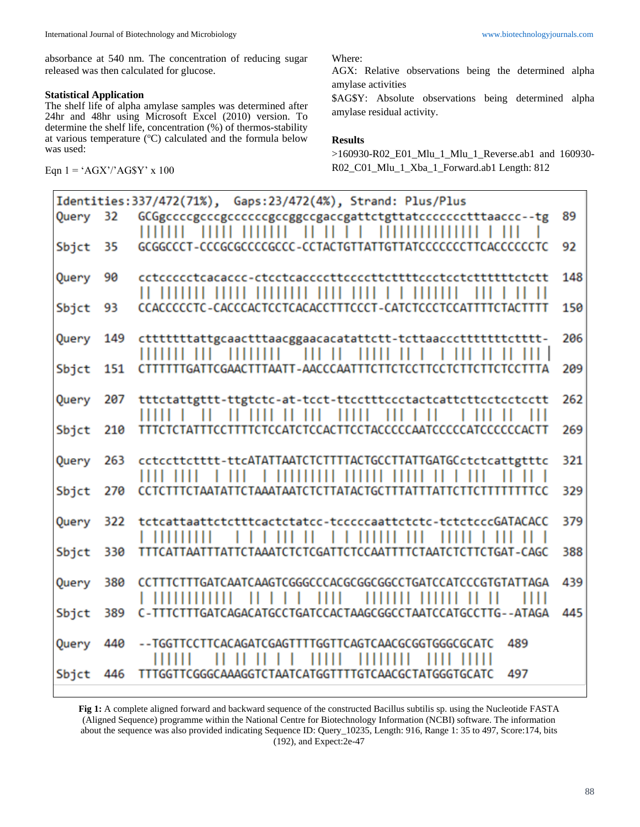absorbance at 540 nm. The concentration of reducing sugar released was then calculated for glucose.

## **Statistical Application**

The shelf life of alpha amylase samples was determined after 24hr and 48hr using Microsoft Excel (2010) version. To determine the shelf life, concentration (%) of thermos-stability at various temperature (°C) calculated and the formula below was used:

Eqn  $1 = 'AGX'/'AG$Y' x 100$ 

Where:

AGX: Relative observations being the determined alpha amylase activities

\$AG\$Y: Absolute observations being determined alpha amylase residual activity.

### **Results**

>160930-R02\_E01\_Mlu\_1\_Mlu\_1\_Reverse.ab1 and 160930- R02\_C01\_Mlu\_1\_Xba\_1\_Forward.ab1 Length: 812

| Identities: 337/472(71%), Gaps: 23/472(4%), Strand: Plus/Plus |     |                                                                                                 |     |
|---------------------------------------------------------------|-----|-------------------------------------------------------------------------------------------------|-----|
| Query                                                         | 32  | GCGgccccgcccgcccccgccggccgaccgattctgttatcccccctttaaccc--tg<br>$\blacksquare$<br>11111<br>Н<br>П | 89  |
| Sbjct                                                         | 35  | GCGGCCCT-CCCGCGCCCCGCCC-CCTACTGTTATTGTTATCCCCCCCTTCACCCCCTC                                     | 92  |
| Query                                                         | 90  | cctccccctcacaccc-ctcctcaccccttccccttcttttccctcctcttttttctctt<br>---                             | 148 |
| Sbjct                                                         | 93  |                                                                                                 | 150 |
| Query                                                         | 149 | 11111111<br>111111111111                                                                        | 206 |
| Sbjct                                                         | 151 | CTTTTTTGATTCGAACTTTAATT-AACCCAATTTCTTCTCCTTCCTTCTTCTCCTTTA                                      | 209 |
| Query                                                         | 207 | tttctattgttt-ttgtctc-at-tcct-ttcctttccctactcattcttcctcctcctt<br>$\perp$                         | 262 |
| Sbjct                                                         | 210 |                                                                                                 | 269 |
| Query                                                         | 263 | cctccttctttt-ttcATATTAATCTCTTTTACTGCCTTATTGATGCctctcattgtttc<br>$\frac{1}{1}$<br>111111         | 321 |
| Sbjct                                                         | 270 |                                                                                                 | 329 |
| Query                                                         | 322 | tctcattaattctctttcactctatcc-tcccccaattctctc-tctctcccGATACACC                                    | 379 |
| Sbjct                                                         | 330 | TTTCATTAATTTATTCTAAATCTCTCGATTCTCCAATTTTCTAATCTCTTCTGAT-CAGC                                    | 388 |
| Query                                                         | 380 | Ш<br>,,,,,,,,                                                                                   | 439 |
| Sbjct                                                         | 389 | C-TTTCTTTGATCAGACATGCCTGATCCACTAAGCGGCCTAATCCATGCCTTG--ATAGA                                    | 445 |
| Query                                                         | 440 | TCCTTCACAGATCGAGTTTTGGTTCAGTCAACGCGGTGGGCGCATC<br>489                                           |     |
| Sbjct                                                         | 446 | 497<br>TTTGGTTCGGGCAAAGGTCTAATCATGGTTTTGTCAACGCTATGGGTGCATC                                     |     |

**Fig 1:** A complete aligned forward and backward sequence of the constructed Bacillus subtilis sp. using the Nucleotide FASTA (Aligned Sequence) programme within the National Centre for Biotechnology Information (NCBI) software. The information about the sequence was also provided indicating Sequence ID: Query\_10235, Length: 916, Range 1: 35 to 497, Score:174, bits (192), and Expect:2e-47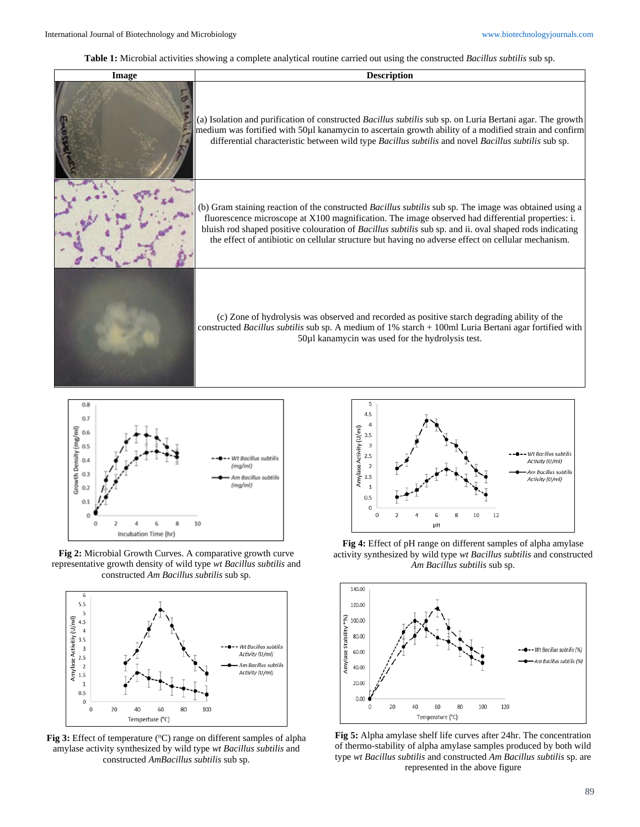**Table 1:** Microbial activities showing a complete analytical routine carried out using the constructed *Bacillus subtilis* sub sp.





**Fig 2:** Microbial Growth Curves. A comparative growth curve representative growth density of wild type *wt Bacillus subtilis* and constructed *Am Bacillus subtilis* sub sp.



**Fig 3:** Effect of temperature (°C) range on different samples of alpha amylase activity synthesized by wild type *wt Bacillus subtilis* and constructed *AmBacillus subtilis* sub sp.



**Fig 4:** Effect of pH range on different samples of alpha amylase activity synthesized by wild type *wt Bacillus subtilis* and constructed *Am Bacillus subtilis* sub sp.



**Fig 5:** Alpha amylase shelf life curves after 24hr. The concentration of thermo-stability of alpha amylase samples produced by both wild type *wt Bacillus subtilis* and constructed *Am Bacillus subtilis* sp. are represented in the above figure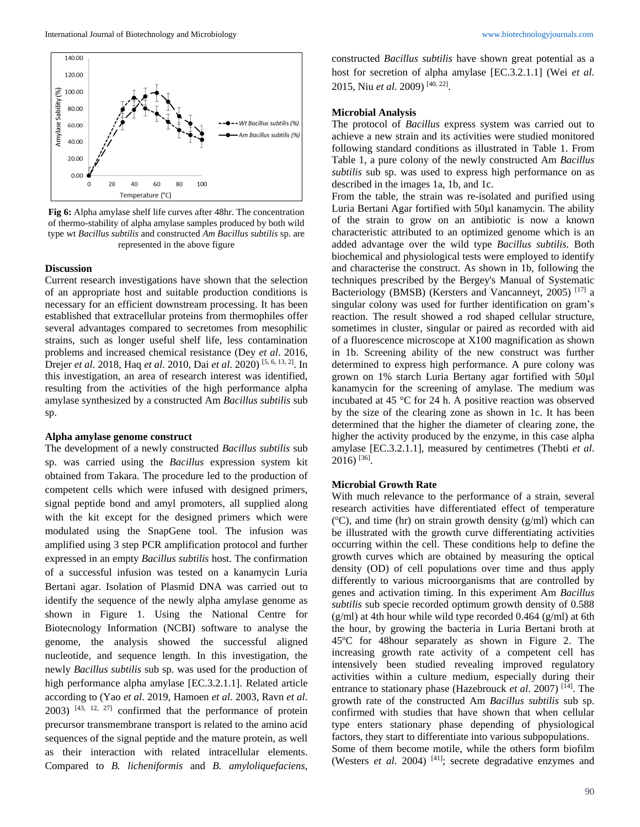

**Fig 6:** Alpha amylase shelf life curves after 48hr. The concentration of thermo-stability of alpha amylase samples produced by both wild type wt *Bacillus subtilis* and constructed *Am Bacillus subtilis* sp. are represented in the above figure

#### **Discussion**

Current research investigations have shown that the selection of an appropriate host and suitable production conditions is necessary for an efficient downstream processing. It has been established that extracellular proteins from thermophiles offer several advantages compared to secretomes from mesophilic strains, such as longer useful shelf life, less contamination problems and increased chemical resistance (Dey *et al*. 2016, Drejer *et al*. 2018, Haq *et al*. 2010, Dai *et al*. 2020) [5, 6, 13, 2] . In this investigation, an area of research interest was identified, resulting from the activities of the high performance alpha amylase synthesized by a constructed Am *Bacillus subtilis* sub sp.

## **Alpha amylase genome construct**

The development of a newly constructed *Bacillus subtilis* sub sp. was carried using the *Bacillus* expression system kit obtained from Takara. The procedure led to the production of competent cells which were infused with designed primers, signal peptide bond and amyl promoters, all supplied along with the kit except for the designed primers which were modulated using the SnapGene tool. The infusion was amplified using 3 step PCR amplification protocol and further expressed in an empty *Bacillus subtilis* host. The confirmation of a successful infusion was tested on a kanamycin Luria Bertani agar. Isolation of Plasmid DNA was carried out to identify the sequence of the newly alpha amylase genome as shown in Figure 1. Using the National Centre for Biotecnology Information (NCBI) software to analyse the genome, the analysis showed the successful aligned nucleotide, and sequence length. In this investigation, the newly *Bacillus subtilis* sub sp. was used for the production of high performance alpha amylase [EC.3.2.1.1]. Related article according to (Yao *et al*. 2019, Hamoen *et al*. 2003, Ravn *et al*.  $2003$ )  $[43, 12, 27]$  confirmed that the performance of protein precursor transmembrane transport is related to the amino acid sequences of the signal peptide and the mature protein, as well as their interaction with related intracellular elements. Compared to *B. licheniformis* and *B. amyloliquefaciens*,

constructed *Bacillus subtilis* have shown great potential as a host for secretion of alpha amylase [EC.3.2.1.1] (Wei *et al*. 2015, Niu *et al*. 2009) [40, 22] .

### **Microbial Analysis**

The protocol of *Bacillus* express system was carried out to achieve a new strain and its activities were studied monitored following standard conditions as illustrated in Table 1. From Table 1, a pure colony of the newly constructed Am *Bacillus subtilis* sub sp. was used to express high performance on as described in the images 1a, 1b, and 1c.

From the table, the strain was re-isolated and purified using Luria Bertani Agar fortified with 50µl kanamycin. The ability of the strain to grow on an antibiotic is now a known characteristic attributed to an optimized genome which is an added advantage over the wild type *Bacillus subtilis.* Both biochemical and physiological tests were employed to identify and characterise the construct. As shown in 1b, following the techniques prescribed by the Bergey's Manual of Systematic Bacteriology (BMSB) (Kersters and Vancanneyt, 2005)<sup>[17]</sup> a singular colony was used for further identification on gram's reaction. The result showed a rod shaped cellular structure, sometimes in cluster, singular or paired as recorded with aid of a fluorescence microscope at X100 magnification as shown in 1b. Screening ability of the new construct was further determined to express high performance. A pure colony was grown on 1% starch Luria Bertany agar fortified with 50µl kanamycin for the screening of amylase. The medium was incubated at 45 °C for 24 h. A positive reaction was observed by the size of the clearing zone as shown in 1c. It has been determined that the higher the diameter of clearing zone, the higher the activity produced by the enzyme, in this case alpha amylase [EC.3.2.1.1], measured by centimetres (Thebti *et al*. 2016) [36] .

#### **Microbial Growth Rate**

With much relevance to the performance of a strain, several research activities have differentiated effect of temperature  $({}^{\circ}C)$ , and time (hr) on strain growth density (g/ml) which can be illustrated with the growth curve differentiating activities occurring within the cell. These conditions help to define the growth curves which are obtained by measuring the optical density (OD) of cell populations over time and thus apply differently to various microorganisms that are controlled by genes and activation timing. In this experiment Am *Bacillus subtilis* sub specie recorded optimum growth density of 0.588  $(g/ml)$  at 4th hour while wild type recorded 0.464  $(g/ml)$  at 6th the hour, by growing the bacteria in Luria Bertani broth at  $45^{\circ}$ C for 48 hour separately as shown in Figure 2. The increasing growth rate activity of a competent cell has intensively been studied revealing improved regulatory activities within a culture medium, especially during their entrance to stationary phase (Hazebrouck *et al*. 2007) [14] . The growth rate of the constructed Am *Bacillus subtilis* sub sp. confirmed with studies that have shown that when cellular type enters stationary phase depending of physiological factors, they start to differentiate into various subpopulations. Some of them become motile, while the others form biofilm (Westers *et al.* 2004)<sup>[41]</sup>; secrete degradative enzymes and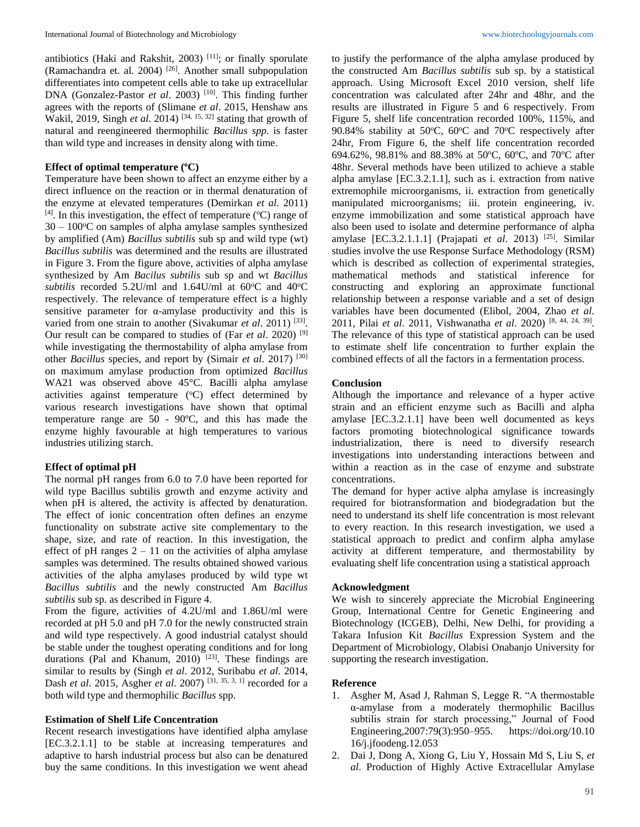antibiotics (Haki and Rakshit, 2003)<sup>[11]</sup>; or finally sporulate (Ramachandra et. al. 2004)<sup>[26]</sup>. Another small subpopulation differentiates into competent cells able to take up extracellular DNA (Gonzalez-Pastor *et al.* 2003)<sup>[10]</sup>. This finding further agrees with the reports of (Slimane *et al*. 2015, Henshaw ans Wakil, 2019, Singh *et al*. 2014) [34, 15, 32] stating that growth of natural and reengineered thermophilic *Bacillus spp.* is faster than wild type and increases in density along with time.

## **Effect of optimal temperature ( <sup>o</sup>C)**

Temperature have been shown to affect an enzyme either by a direct influence on the reaction or in thermal denaturation of the enzyme at elevated temperatures (Demirkan *et al*. 2011)  $[4]$ . In this investigation, the effect of temperature ( $^{\circ}$ C) range of  $30 - 100$ <sup>o</sup>C on samples of alpha amylase samples synthesized by amplified (Am) *Bacillus subtilis* sub sp and wild type (wt) *Bacillus subtilis* was determined and the results are illustrated in Figure 3. From the figure above, activities of alpha amylase synthesized by Am *Bacilus subtilis* sub sp and wt *Bacillus*  subtilis recorded 5.2U/ml and 1.64U/ml at 60°C and 40°C respectively. The relevance of temperature effect is a highly sensitive parameter for α-amylase productivity and this is varied from one strain to another (Sivakumar *et al.* 2011)<sup>[33]</sup>. Our result can be compared to studies of (Far *et al*. 2020) [9] while investigating the thermostability of alpha amylase from other *Bacillus* species, and report by (Simair *et al*. 2017) [30] on maximum amylase production from optimized *Bacillus* WA21 was observed above 45°C. Bacilli alpha amylase activities against temperature  $(^{\circ}C)$  effect determined by various research investigations have shown that optimal temperature range are 50 - 90ºC, and this has made the enzyme highly favourable at high temperatures to various industries utilizing starch.

#### **Effect of optimal pH**

The normal pH ranges from 6.0 to 7.0 have been reported for wild type Bacillus subtilis growth and enzyme activity and when pH is altered, the activity is affected by denaturation. The effect of ionic concentration often defines an enzyme functionality on substrate active site complementary to the shape, size, and rate of reaction. In this investigation, the effect of pH ranges  $2 - 11$  on the activities of alpha amylase samples was determined. The results obtained showed various activities of the alpha amylases produced by wild type wt *Bacillus subtilis* and the newly constructed Am *Bacillus subtilis* sub sp. as described in Figure 4.

From the figure, activities of 4.2U/ml and 1.86U/ml were recorded at pH 5.0 and pH 7.0 for the newly constructed strain and wild type respectively. A good industrial catalyst should be stable under the toughest operating conditions and for long durations (Pal and Khanum, 2010)<sup>[23]</sup>. These findings are similar to results by (Singh *et al*. 2012, Suribabu *et al*. 2014, Dash *et al*. 2015, Asgher *et al*. 2007) [31, 35, 3, 1] recorded for a both wild type and thermophilic *Bacillus* spp.

#### **Estimation of Shelf Life Concentration**

Recent research investigations have identified alpha amylase [EC.3.2.1.1] to be stable at increasing temperatures and adaptive to harsh industrial process but also can be denatured buy the same conditions. In this investigation we went ahead

to justify the performance of the alpha amylase produced by the constructed Am *Bacillus subtilis* sub sp. by a statistical approach. Using Microsoft Excel 2010 version, shelf life concentration was calculated after 24hr and 48hr, and the results are illustrated in Figure 5 and 6 respectively. From Figure 5, shelf life concentration recorded 100%, 115%, and 90.84% stability at 50 $\degree$ C, 60 $\degree$ C and 70 $\degree$ C respectively after 24hr, From Figure 6, the shelf life concentration recorded 694.62%, 98.81% and 88.38% at 50°C, 60°C, and 70°C after 48hr. Several methods have been utilized to achieve a stable alpha amylase [EC.3.2.1.1], such as i. extraction from native extremophile microorganisms, ii. extraction from genetically manipulated microorganisms; iii. protein engineering, iv. enzyme immobilization and some statistical approach have also been used to isolate and determine performance of alpha amylase [EC.3.2.1.1.1] (Prajapati *et al*. 2013) [25] . Similar studies involve the use Response Surface Methodology (RSM) which is described as collection of experimental strategies, mathematical methods and statistical inference for constructing and exploring an approximate functional relationship between a response variable and a set of design variables have been documented (Elibol, 2004, Zhao *et al*. 2011, Pilai *et al*. 2011, Vishwanatha *et al*. 2020) [8, 44, 24, 39] . The relevance of this type of statistical approach can be used to estimate shelf life concentration to further explain the combined effects of all the factors in a fermentation process.

### **Conclusion**

Although the importance and relevance of a hyper active strain and an efficient enzyme such as Bacilli and alpha amylase [EC.3.2.1.1] have been well documented as keys factors promoting biotechnological significance towards industrialization, there is need to diversify research investigations into understanding interactions between and within a reaction as in the case of enzyme and substrate concentrations.

The demand for hyper active alpha amylase is increasingly required for biotransformation and biodegradation but the need to understand its shelf life concentration is most relevant to every reaction. In this research investigation, we used a statistical approach to predict and confirm alpha amylase activity at different temperature, and thermostability by evaluating shelf life concentration using a statistical approach

#### **Acknowledgment**

We wish to sincerely appreciate the Microbial Engineering Group, International Centre for Genetic Engineering and Biotechnology (ICGEB), Delhi, New Delhi, for providing a Takara Infusion Kit *Bacillus* Expression System and the Department of Microbiology, Olabisi Onabanjo University for supporting the research investigation.

### **Reference**

- 1. Asgher M, Asad J, Rahman S, Legge R. "A thermostable α-amylase from a moderately thermophilic Bacillus subtilis strain for starch processing," Journal of Food Engineering,2007:79(3):950–955. https://doi.org/10.10 16/j.jfoodeng.12.053
- 2. Dai J, Dong A, Xiong G, Liu Y, Hossain Md S, Liu S, *et al*. Production of Highly Active Extracellular Amylase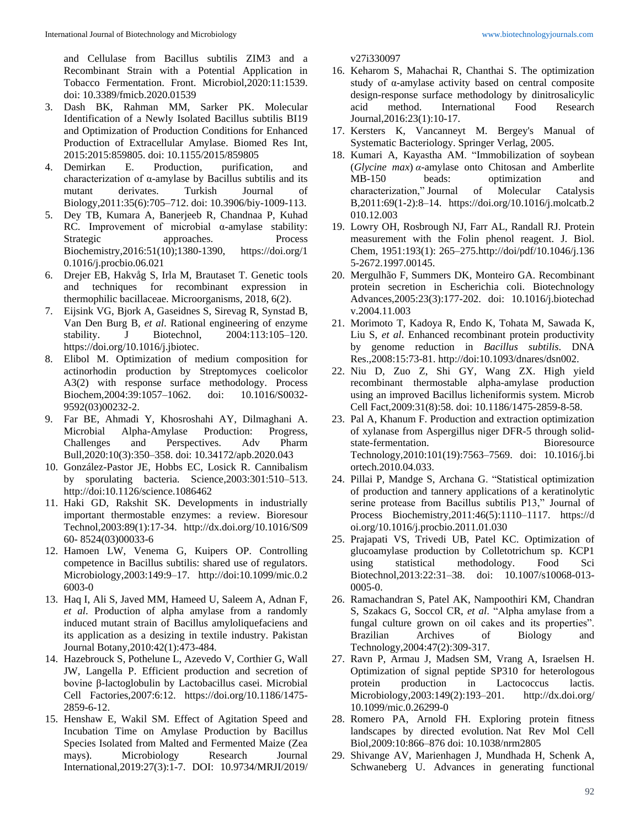and Cellulase from Bacillus subtilis ZIM3 and a Recombinant Strain with a Potential Application in Tobacco Fermentation. Front. Microbiol,2020:11:1539. doi: 10.3389/fmicb.2020.01539

- 3. Dash BK, Rahman MM, Sarker PK. Molecular Identification of a Newly Isolated Bacillus subtilis BI19 and Optimization of Production Conditions for Enhanced Production of Extracellular Amylase. Biomed Res Int, 2015:2015:859805. doi: 10.1155/2015/859805
- 4. Demirkan E. Production, purification, and characterization of α-amylase by Bacillus subtilis and its mutant derivates. Turkish Journal of Biology,2011:35(6):705–712. doi: 10.3906/biy-1009-113.
- 5. Dey TB, Kumara A, Banerjeeb R, Chandnaa P, Kuhad RC. Improvement of microbial α-amylase stability: Strategic approaches. Process Biochemistry,2016:51(10);1380-1390, https://doi.org/1 0.1016/j.procbio.06.021
- 6. Drejer EB, Hakvåg S, Irla M, Brautaset T. Genetic tools and techniques for recombinant expression in thermophilic bacillaceae. Microorganisms, 2018, 6(2).
- 7. Eijsink VG, Bjork A, Gaseidnes S, Sirevag R, Synstad B, Van Den Burg B, *et al*. Rational engineering of enzyme stability. J Biotechnol, 2004:113:105–120. https://doi.org/10.1016/j.jbiotec.
- 8. Elibol M. Optimization of medium composition for actinorhodin production by Streptomyces coelicolor A3(2) with response surface methodology. Process Biochem,2004:39:1057–1062. doi: 10.1016/S0032- 9592(03)00232-2.
- 9. Far BE, Ahmadi Y, Khosroshahi AY, Dilmaghani A. Microbial Alpha-Amylase Production: Progress, Challenges and Perspectives. Adv Pharm Bull,2020:10(3):350–358. doi: 10.34172/apb.2020.043
- 10. González-Pastor JE, Hobbs EC, Losick R. Cannibalism by sporulating bacteria. Science,2003:301:510–513. http://doi:10.1126/science.1086462
- 11. Haki GD, Rakshit SK. Developments in industrially important thermostable enzymes: a review. Bioresour Technol,2003:89(1):17-34. http://dx.doi.org/10.1016/S09 60- 8524(03)00033-6
- 12. Hamoen LW, Venema G, Kuipers OP. Controlling competence in Bacillus subtilis: shared use of regulators. Microbiology,2003:149:9–17. http://doi:10.1099/mic.0.2 6003-0
- 13. Haq I, Ali S, Javed MM, Hameed U, Saleem A, Adnan F, *et al*. Production of alpha amylase from a randomly induced mutant strain of Bacillus amyloliquefaciens and its application as a desizing in textile industry. Pakistan Journal Botany,2010:42(1):473-484.
- 14. Hazebrouck S, Pothelune L, Azevedo V, Corthier G, Wall JW, Langella P. Efficient production and secretion of bovine β-lactoglobulin by Lactobacillus casei. Microbial Cell Factories,2007:6:12. https://doi.org/10.1186/1475- 2859-6-12.
- 15. Henshaw E, Wakil SM. Effect of Agitation Speed and Incubation Time on Amylase Production by Bacillus Species Isolated from Malted and Fermented Maize (Zea mays). Microbiology Research Journal International,2019:27(3):1-7. DOI: 10.9734/MRJI/2019/

v27i330097

- 16. Keharom S, Mahachai R, Chanthai S. The optimization study of α-amylase activity based on central composite design-response surface methodology by dinitrosalicylic acid method. International Food Research Journal,2016:23(1):10-17.
- 17. Kersters K, Vancanneyt M. Bergey's Manual of Systematic Bacteriology. Springer Verlag, 2005.
- 18. Kumari A, Kayastha AM. "Immobilization of soybean (*Glycine max*) *α*-amylase onto Chitosan and Amberlite MB-150 beads: optimization and characterization," Journal of Molecular Catalysis B,2011:69(1-2):8–14. https://doi.org/10.1016/j.molcatb.2 010.12.003
- 19. Lowry OH, Rosbrough NJ, Farr AL, Randall RJ. Protein measurement with the Folin phenol reagent. J. Biol. Chem, 1951:193(1): 265–275.http://doi/pdf/10.1046/j.136 5-2672.1997.00145.
- 20. Mergulhão F, Summers DK, Monteiro GA. Recombinant protein secretion in Escherichia coli. Biotechnology Advances,2005:23(3):177-202. doi: 10.1016/j.biotechad v.2004.11.003
- 21. Morimoto T, Kadoya R, Endo K, Tohata M, Sawada K, Liu S, *et al*. Enhanced recombinant protein productivity by genome reduction in *Bacillus subtilis*. DNA Res.,2008:15:73-81. http://doi:10.1093/dnares/dsn002.
- 22. Niu D, Zuo Z, Shi GY, Wang ZX. High yield recombinant thermostable alpha-amylase production using an improved Bacillus licheniformis system. Microb Cell Fact,2009:31(8):58. doi: 10.1186/1475-2859-8-58.
- 23. Pal A, Khanum F. Production and extraction optimization of xylanase from Aspergillus niger DFR-5 through solidstate-fermentation. Bioresource Technology,2010:101(19):7563–7569. doi: 10.1016/j.bi ortech.2010.04.033.
- 24. Pillai P, Mandge S, Archana G. "Statistical optimization of production and tannery applications of a keratinolytic serine protease from Bacillus subtilis P13," Journal of Process Biochemistry,2011:46(5):1110–1117. https://d oi.org/10.1016/j.procbio.2011.01.030
- 25. Prajapati VS, Trivedi UB, Patel KC. Optimization of glucoamylase production by Colletotrichum sp. KCP1 using statistical methodology. Food Sci Biotechnol,2013:22:31–38. doi: 10.1007/s10068-013- 0005-0.
- 26. Ramachandran S, Patel AK, Nampoothiri KM, Chandran S, Szakacs G, Soccol CR, *et al*. "Alpha amylase from a fungal culture grown on oil cakes and its properties". Brazilian Archives of Biology and Technology,2004:47(2):309-317.
- 27. Ravn P, Armau J, Madsen SM, Vrang A, Israelsen H. Optimization of signal peptide SP310 for heterologous protein production in Lactococcus lactis. Microbiology,2003:149(2):193–201. http://dx.doi.org/ 10.1099/mic.0.26299-0
- 28. Romero PA, Arnold FH. Exploring protein fitness landscapes by directed evolution. Nat Rev Mol Cell Biol,2009:10:866–876 doi: 10.1038/nrm2805
- 29. Shivange AV, Marienhagen J, Mundhada H, Schenk A, Schwaneberg U. Advances in generating functional